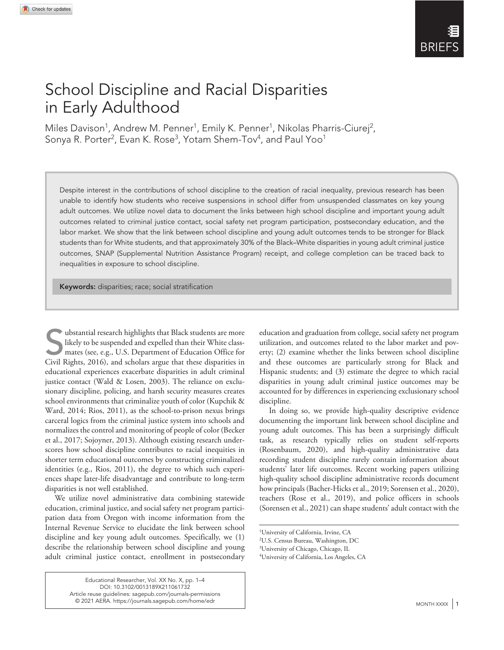## School Discipline and Racial Disparities in Early Adulthood

Miles Davison<sup>1</sup>, Andrew M. Penner<sup>1</sup>, Emily K. Penner<sup>1</sup>, Nikolas Pharris-Ciurej<sup>2</sup>, Sonya R. Porter<sup>2</sup>, Evan K. Rose<sup>3</sup>, Yotam Shem-Tov<sup>4</sup>, and Paul Yoo<sup>1</sup>

Despite interest in the contributions of school discipline to the creation of racial inequality, previous research has been unable to identify how students who receive suspensions in school differ from unsuspended classmates on key young adult outcomes. We utilize novel data to document the links between high school discipline and important young adult outcomes related to criminal justice contact, social safety net program participation, postsecondary education, and the labor market. We show that the link between school discipline and young adult outcomes tends to be stronger for Black students than for White students, and that approximately 30% of the Black–White disparities in young adult criminal justice outcomes, SNAP (Supplemental Nutrition Assistance Program) receipt, and college completion can be traced back to inequalities in exposure to school discipline.

Keywords: disparities; race; social stratification

Units and The Substantial research highlights that Black students are more<br>likely to be suspended and expelled than their White class-<br>mates (see, e.g., U.S. Department of Education Office for<br>Givil Rights 2016) and schola likely to be suspended and expelled than their White classmates (see, e.g., U.S. Department of Education Office for Civil Rights, 2016), and scholars argue that these disparities in educational experiences exacerbate disparities in adult criminal justice contact (Wald & Losen, 2003). The reliance on exclusionary discipline, policing, and harsh security measures creates school environments that criminalize youth of color (Kupchik & Ward, 2014; Rios, 2011), as the school-to-prison nexus brings carceral logics from the criminal justice system into schools and normalizes the control and monitoring of people of color (Becker et al., 2017; Sojoyner, 2013). Although existing research underscores how school discipline contributes to racial inequities in shorter term educational outcomes by constructing criminalized identities (e.g., Rios, 2011), the degree to which such experiences shape later-life disadvantage and contribute to long-term disparities is not well established.

We utilize novel administrative data combining statewide education, criminal justice, and social safety net program participation data from Oregon with income information from the Internal Revenue Service to elucidate the link between school discipline and key young adult outcomes. Specifically, we (1) describe the relationship between school discipline and young adult criminal justice contact, enrollment in postsecondary

> Educational Researcher, Vol. XX No. X, pp. 1–4 DOI: 10.3102/0013189X211061732 [Article reuse guidelines: sagepub.com/journals-permissions](https://us.sagepub.com/en-us/journals-permissions) © 2021 AERA. https://journals.sagepub.com/home/edr  $\parallel$

education and graduation from college, social safety net program utilization, and outcomes related to the labor market and poverty; (2) examine whether the links between school discipline and these outcomes are particularly strong for Black and Hispanic students; and (3) estimate the degree to which racial disparities in young adult criminal justice outcomes may be accounted for by differences in experiencing exclusionary school discipline.

In doing so, we provide high-quality descriptive evidence documenting the important link between school discipline and young adult outcomes. This has been a surprisingly difficult task, as research typically relies on student self-reports (Rosenbaum, 2020), and high-quality administrative data recording student discipline rarely contain information about students' later life outcomes. Recent working papers utilizing high-quality school discipline administrative records document how principals (Bacher-Hicks et al., 2019; Sorensen et al., 2020), teachers (Rose et al., 2019), and police officers in schools (Sorensen et al., 2021) can shape students' adult contact with the

<sup>1</sup> University of California, Irvine, CA

<sup>2</sup> U.S. Census Bureau, Washington, DC

<sup>3</sup> University of Chicago, Chicago, IL

<sup>4</sup> University of California, Los Angeles, CA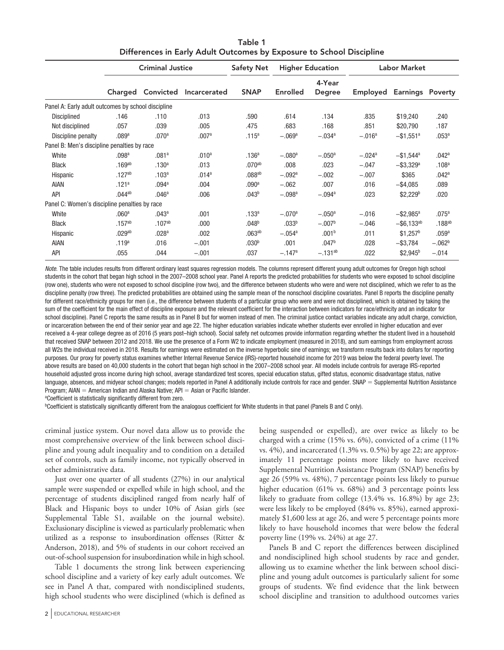|                                                    | <b>Criminal Justice</b> |                    |                   | <b>Safety Net</b>  | <b>Higher Education</b> |                         | <b>Labor Market</b> |                          |                      |
|----------------------------------------------------|-------------------------|--------------------|-------------------|--------------------|-------------------------|-------------------------|---------------------|--------------------------|----------------------|
|                                                    | Charged                 | Convicted          | Incarcerated      | <b>SNAP</b>        | <b>Enrolled</b>         | 4-Year<br><b>Degree</b> | Employed            | <b>Earnings Poverty</b>  |                      |
| Panel A: Early adult outcomes by school discipline |                         |                    |                   |                    |                         |                         |                     |                          |                      |
| Disciplined                                        | .146                    | .110               | .013              | .590               | .614                    | .134                    | .835                | \$19,240                 | .240                 |
| Not disciplined                                    | .057                    | .039               | .005              | .475               | .683                    | .168                    | .851                | \$20,790                 | .187                 |
| Discipline penalty                                 | .089a                   | .070 <sup>a</sup>  | .007a             | .115 <sup>a</sup>  | $-.069a$                | $-.034a$                | $-.016a$            | $-$ \$1,551 <sup>a</sup> | .053 <sup>a</sup>    |
| Panel B: Men's discipline penalties by race        |                         |                    |                   |                    |                         |                         |                     |                          |                      |
| White                                              | $.098$ <sup>a</sup>     | .081a              | .010 <sup>a</sup> | .136 <sup>a</sup>  | $-.080a$                | $-.050a$                | $-.024a$            | $-$ \$1,544 <sup>a</sup> | .042 <sup>a</sup>    |
| <b>Black</b>                                       | $.169$ <sup>ab</sup>    | .130 <sup>a</sup>  | .013              | .070 <sup>ab</sup> | .008                    | .023                    | $-.047$             | $-$ \$3,329 <sup>a</sup> | .108 <sup>a</sup>    |
| Hispanic                                           | $.127^{ab}$             | .103 <sup>a</sup>  | .014 <sup>a</sup> | .088 <sup>ab</sup> | $-.092a$                | $-.002$                 | $-.007$             | \$365                    | .042a                |
| <b>AIAN</b>                                        | .121a                   | .094 <sup>a</sup>  | .004              | .090 <sup>a</sup>  | $-.062$                 | .007                    | .016                | $-$ \$4,085              | .089                 |
| <b>API</b>                                         | $.044$ <sup>ab</sup>    | .046a              | .006              | .043 <sup>b</sup>  | $-.098a$                | $-.094a$                | .023                | $$2,229^b$               | .020                 |
| Panel C: Women's discipline penalties by race      |                         |                    |                   |                    |                         |                         |                     |                          |                      |
| White                                              | .060 <sup>a</sup>       | .043a              | .001              | .133a              | $-.070a$                | $-.050a$                | $-.016$             | $-$ \$2,985 <sup>a</sup> | .075 <sup>a</sup>    |
| <b>Black</b>                                       | $.157^{ab}$             | .107 <sup>ab</sup> | .000              | .048 <sup>b</sup>  | .033 <sup>b</sup>       | $-.007b$                | $-.046$             | $-$ \$6,133ab            | $.188$ <sup>ab</sup> |
| Hispanic                                           | .029 <sup>ab</sup>      | .028 <sup>a</sup>  | .002              | .063 <sup>ab</sup> | $-.054a$                | .001 <sup>b</sup>       | .011                | $$1,257^b$               | .059 <sup>a</sup>    |
| <b>AIAN</b>                                        | .119a                   | .016               | $-.001$           | .030 <sup>b</sup>  | .001                    | .047 <sup>b</sup>       | .028                | $-$ \$3,784              | $-.062b$             |
| <b>API</b>                                         | .055                    | .044               | $-.001$           | .037               | $-.147$ <sup>a</sup>    | $-.131^{ab}$            | .022                | $$2,945^b$               | $-.014$              |

Table 1 Differences in Early Adult Outcomes by Exposure to School Discipline

*Note*. The table includes results from different ordinary least squares regression models. The columns represent different young adult outcomes for Oregon high school students in the cohort that began high school in the 2007–2008 school year. Panel A reports the predicted probabilities for students who were exposed to school discipline (row one), students who were not exposed to school discipline (row two), and the difference between students who were and were not disciplined, which we refer to as the discipline penalty (row three). The predicted probabilities are obtained using the sample mean of the nonschool discipline covariates. Panel B reports the discipline penalty for different race/ethnicity groups for men (i.e., the difference between students of a particular group who were and were not disciplined, which is obtained by taking the sum of the coefficient for the main effect of discipline exposure and the relevant coefficient for the interaction between indicators for race/ethnicity and an indicator for school discipline). Panel C reports the same results as in Panel B but for women instead of men. The criminal justice contact variables indicate any adult charge, conviction, or incarceration between the end of their senior year and age 22. The higher education variables indicate whether students ever enrolled in higher education and ever received a 4-year college degree as of 2016 (5 years post-high school). Social safety net outcomes provide information regarding whether the student lived in a household that received SNAP between 2012 and 2018. We use the presence of a Form W2 to indicate employment (measured in 2018), and sum earnings from employment across all W2s the individual received in 2018. Results for earnings were estimated on the inverse hyperbolic sine of earnings; we transform results back into dollars for reporting purposes. Our proxy for poverty status examines whether Internal Revenue Service (IRS)-reported household income for 2019 was below the federal poverty level. The above results are based on 40,000 students in the cohort that began high school in the 2007–2008 school year. All models include controls for average IRS-reported household adjusted gross income during high school, average standardized test scores, special education status, gifted status, economic disadvantage status, native language, absences, and midyear school changes; models reported in Panel A additionally include controls for race and gender. SNAP = Supplemental Nutrition Assistance Program; AIAN = American Indian and Alaska Native;  $API =$  Asian or Pacific Islander.

<sup>a</sup>Coefficient is statistically significantly different from zero.

<sup>b</sup>Coefficient is statistically significantly different from the analogous coefficient for White students in that panel (Panels B and C only).

criminal justice system. Our novel data allow us to provide the most comprehensive overview of the link between school discipline and young adult inequality and to condition on a detailed set of controls, such as family income, not typically observed in other administrative data.

Just over one quarter of all students (27%) in our analytical sample were suspended or expelled while in high school, and the percentage of students disciplined ranged from nearly half of Black and Hispanic boys to under 10% of Asian girls (see Supplemental Table S1, available on the journal website). Exclusionary discipline is viewed as particularly problematic when utilized as a response to insubordination offenses (Ritter & Anderson, 2018), and 5% of students in our cohort received an out-of-school suspension for insubordination while in high school.

Table 1 documents the strong link between experiencing school discipline and a variety of key early adult outcomes. We see in Panel A that, compared with nondisciplined students, high school students who were disciplined (which is defined as

being suspended or expelled), are over twice as likely to be charged with a crime (15% vs. 6%), convicted of a crime (11% vs. 4%), and incarcerated (1.3% vs. 0.5%) by age 22; are approximately 11 percentage points more likely to have received Supplemental Nutrition Assistance Program (SNAP) benefits by age 26 (59% vs. 48%), 7 percentage points less likely to pursue higher education (61% vs. 68%) and 3 percentage points less likely to graduate from college (13.4% vs. 16.8%) by age 23; were less likely to be employed (84% vs. 85%), earned approximately \$1,600 less at age 26, and were 5 percentage points more likely to have household incomes that were below the federal poverty line (19% vs. 24%) at age 27.

Panels B and C report the differences between disciplined and nondisciplined high school students by race and gender, allowing us to examine whether the link between school discipline and young adult outcomes is particularly salient for some groups of students. We find evidence that the link between school discipline and transition to adulthood outcomes varies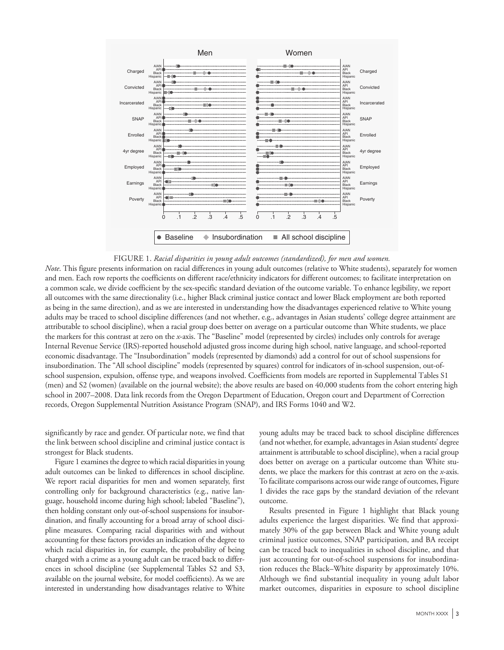



*Note*. This figure presents information on racial differences in young adult outcomes (relative to White students), separately for women and men. Each row reports the coefficients on different race/ethnicity indicators for different outcomes; to facilitate interpretation on a common scale, we divide coefficient by the sex-specific standard deviation of the outcome variable. To enhance legibility, we report all outcomes with the same directionality (i.e., higher Black criminal justice contact and lower Black employment are both reported as being in the same direction), and as we are interested in understanding how the disadvantages experienced relative to White young adults may be traced to school discipline differences (and not whether, e.g., advantages in Asian students' college degree attainment are attributable to school discipline), when a racial group does better on average on a particular outcome than White students, we place the markers for this contrast at zero on the *x*-axis. The "Baseline" model (represented by circles) includes only controls for average Internal Revenue Service (IRS)-reported household adjusted gross income during high school, native language, and school-reported economic disadvantage. The "Insubordination" models (represented by diamonds) add a control for out of school suspensions for insubordination. The "All school discipline" models (represented by squares) control for indicators of in-school suspension, out-ofschool suspension, expulsion, offense type, and weapons involved. Coefficients from models are reported in Supplemental Tables S1 (men) and S2 (women) (available on the journal website); the above results are based on 40,000 students from the cohort entering high school in 2007–2008. Data link records from the Oregon Department of Education, Oregon court and Department of Correction records, Oregon Supplemental Nutrition Assistance Program (SNAP), and IRS Forms 1040 and W2.

significantly by race and gender. Of particular note, we find that the link between school discipline and criminal justice contact is strongest for Black students.

Figure 1 examines the degree to which racial disparities in young adult outcomes can be linked to differences in school discipline. We report racial disparities for men and women separately, first controlling only for background characteristics (e.g., native language, household income during high school; labeled "Baseline"), then holding constant only out-of-school suspensions for insubordination, and finally accounting for a broad array of school discipline measures. Comparing racial disparities with and without accounting for these factors provides an indication of the degree to which racial disparities in, for example, the probability of being charged with a crime as a young adult can be traced back to differences in school discipline (see Supplemental Tables S2 and S3, available on the journal website, for model coefficients). As we are interested in understanding how disadvantages relative to White young adults may be traced back to school discipline differences (and not whether, for example, advantages in Asian students' degree attainment is attributable to school discipline), when a racial group does better on average on a particular outcome than White students, we place the markers for this contrast at zero on the *x*-axis. To facilitate comparisons across our wide range of outcomes, Figure 1 divides the race gaps by the standard deviation of the relevant outcome.

Results presented in Figure 1 highlight that Black young adults experience the largest disparities. We find that approximately 30% of the gap between Black and White young adult criminal justice outcomes, SNAP participation, and BA receipt can be traced back to inequalities in school discipline, and that just accounting for out-of-school suspensions for insubordination reduces the Black–White disparity by approximately 10%. Although we find substantial inequality in young adult labor market outcomes, disparities in exposure to school discipline